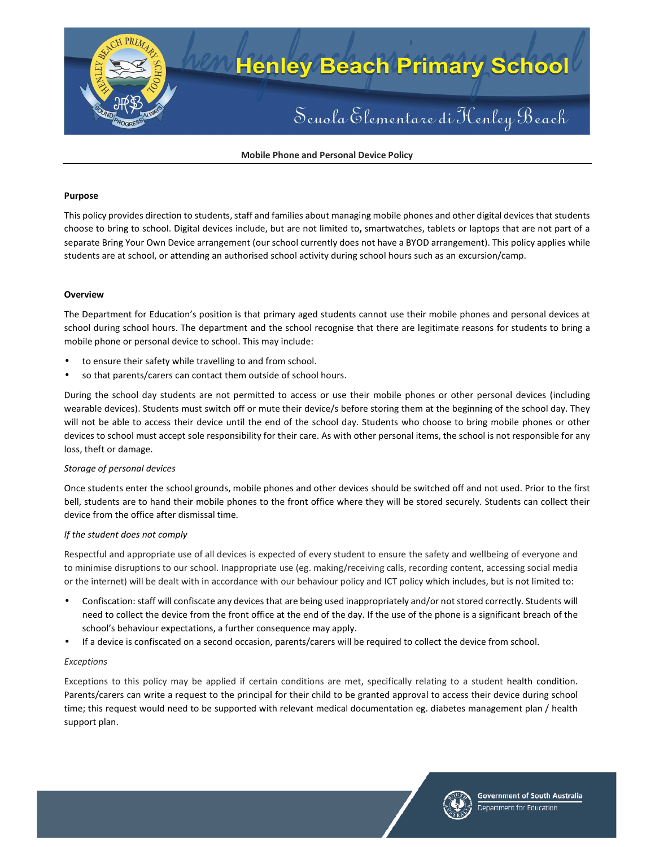

**Mobile Phone and Personal Device Policy** 

### **Purpose**

This policy provides direction to students, staff and families about managing mobile phones and other digital devices that students choose to bring to school. Digital devices include, but are not limited to**,** smartwatches, tablets or laptops that are not part of a separate Bring Your Own Device arrangement (our school currently does not have a BYOD arrangement). This policy applies while students are at school, or attending an authorised school activity during school hours such as an excursion/camp.

### **Overview**

The Department for Education's position is that primary aged students cannot use their mobile phones and personal devices at school during school hours. The department and the school recognise that there are legitimate reasons for students to bring a mobile phone or personal device to school. This may include:

- to ensure their safety while travelling to and from school.
- so that parents/carers can contact them outside of school hours.

During the school day students are not permitted to access or use their mobile phones or other personal devices (including wearable devices). Students must switch off or mute their device/s before storing them at the beginning of the school day. They will not be able to access their device until the end of the school day. Students who choose to bring mobile phones or other devices to school must accept sole responsibility for their care. As with other personal items, the school is not responsible for any loss, theft or damage.

# *Storage of personal devices*

Once students enter the school grounds, mobile phones and other devices should be switched off and not used. Prior to the first bell, students are to hand their mobile phones to the front office where they will be stored securely. Students can collect their device from the office after dismissal time.

# *If the student does not comply*

Respectful and appropriate use of all devices is expected of every student to ensure the safety and wellbeing of everyone and to minimise disruptions to our school. Inappropriate use (eg. making/receiving calls, recording content, accessing social media or the internet) will be dealt with in accordance with our behaviour policy and ICT policy which includes, but is not limited to:

- Confiscation: staff will confiscate any devices that are being used inappropriately and/or not stored correctly. Students will need to collect the device from the front office at the end of the day. If the use of the phone is a significant breach of the school's behaviour expectations, a further consequence may apply.
- If a device is confiscated on a second occasion, parents/carers will be required to collect the device from school.

# *Exceptions*

Exceptions to this policy may be applied if certain conditions are met, specifically relating to a student health condition. Parents/carers can write a request to the principal for their child to be granted approval to access their device during school time; this request would need to be supported with relevant medical documentation eg. diabetes management plan / health support plan.